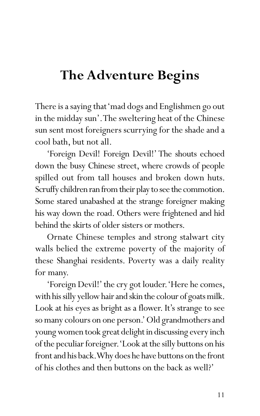## **The Adventure Begins**

There is a saying that 'mad dogs and Englishmen go out in the midday sun'. The sweltering heat of the Chinese sun sent most foreigners scurrying for the shade and a cool bath, but not all.

'Foreign Devil! Foreign Devil!' The shouts echoed down the busy Chinese street, where crowds of people spilled out from tall houses and broken down huts. Scruffy children ran from their play to see the commotion. Some stared unabashed at the strange foreigner making his way down the road. Others were frightened and hid behind the skirts of older sisters or mothers.

Ornate Chinese temples and strong stalwart city walls belied the extreme poverty of the majority of these Shanghai residents. Poverty was a daily reality for many.

'Foreign Devil!' the cry got louder. 'Here he comes, with his silly yellow hair and skin the colour of goats milk. Look at his eyes as bright as a flower. It's strange to see so many colours on one person.' Old grandmothers and young women took great delight in discussing every inch of the peculiar foreigner. 'Look at the silly buttons on his front and his back. Why does he have buttons on the front of his clothes and then buttons on the back as well?'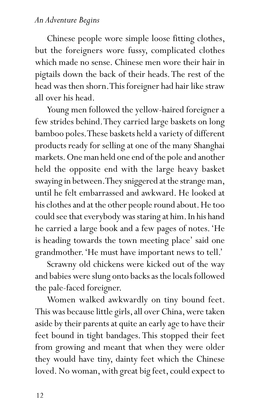## *An Adventure Begins*

Chinese people wore simple loose fitting clothes, but the foreigners wore fussy, complicated clothes which made no sense. Chinese men wore their hair in pigtails down the back of their heads. The rest of the head was then shorn. This foreigner had hair like straw all over his head.

Young men followed the yellow-haired foreigner a few strides behind. They carried large baskets on long bamboo poles. These baskets held a variety of different products ready for selling at one of the many Shanghai markets. One man held one end of the pole and another held the opposite end with the large heavy basket swaying in between. They sniggered at the strange man, until he felt embarrassed and awkward. He looked at his clothes and at the other people round about. He too could see that everybody was staring at him. In his hand he carried a large book and a few pages of notes. 'He is heading towards the town meeting place' said one grandmother. 'He must have important news to tell.'

Scrawny old chickens were kicked out of the way and babies were slung onto backs as the locals followed the pale-faced foreigner.

Women walked awkwardly on tiny bound feet. This was because little girls, all over China, were taken aside by their parents at quite an early age to have their feet bound in tight bandages. This stopped their feet from growing and meant that when they were older they would have tiny, dainty feet which the Chinese loved. No woman, with great big feet, could expect to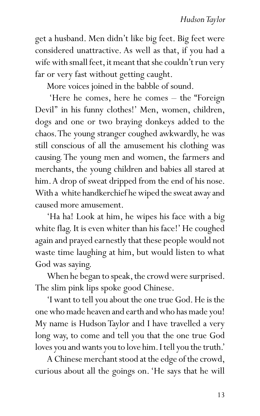get a husband. Men didn't like big feet. Big feet were considered unattractive. As well as that, if you had a wife with small feet, it meant that she couldn't run very far or very fast without getting caught.

More voices joined in the babble of sound.

 'Here he comes, here he comes – the "Foreign Devil'' in his funny clothes!' Men, women, children, dogs and one or two braying donkeys added to the chaos. The young stranger coughed awkwardly, he was still conscious of all the amusement his clothing was causing. The young men and women, the farmers and merchants, the young children and babies all stared at him. A drop of sweat dripped from the end of his nose. With a white handkerchief he wiped the sweat away and caused more amusement.

'Ha ha! Look at him, he wipes his face with a big white flag. It is even whiter than his face!' He coughed again and prayed earnestly that these people would not waste time laughing at him, but would listen to what God was saying.

When he began to speak, the crowd were surprised. The slim pink lips spoke good Chinese.

'I want to tell you about the one true God. He is the one who made heaven and earth and who has made you! My name is Hudson Taylor and I have travelled a very long way, to come and tell you that the one true God loves you and wants you to love him. I tell you the truth.'

A Chinese merchant stood at the edge of the crowd, curious about all the goings on. 'He says that he will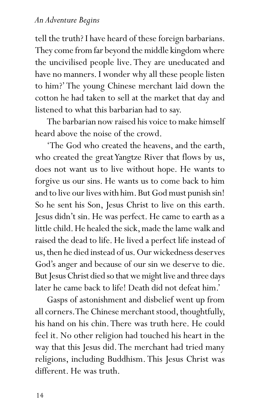## *An Adventure Begins*

tell the truth? I have heard of these foreign barbarians. They come from far beyond the middle kingdom where the uncivilised people live. They are uneducated and have no manners. I wonder why all these people listen to him?' The young Chinese merchant laid down the cotton he had taken to sell at the market that day and listened to what this barbarian had to say.

The barbarian now raised his voice to make himself heard above the noise of the crowd.

'The God who created the heavens, and the earth, who created the great Yangtze River that flows by us, does not want us to live without hope. He wants to forgive us our sins. He wants us to come back to him and to live our lives with him. But God must punish sin! So he sent his Son, Jesus Christ to live on this earth. Jesus didn't sin. He was perfect. He came to earth as a little child. He healed the sick, made the lame walk and raised the dead to life. He lived a perfect life instead of us, then he died instead of us. Our wickedness deserves God's anger and because of our sin we deserve to die. But Jesus Christ died so that we might live and three days later he came back to life! Death did not defeat him.'

Gasps of astonishment and disbelief went up from all corners. The Chinese merchant stood, thoughtfully, his hand on his chin. There was truth here. He could feel it. No other religion had touched his heart in the way that this Jesus did. The merchant had tried many religions, including Buddhism. This Jesus Christ was different. He was truth.